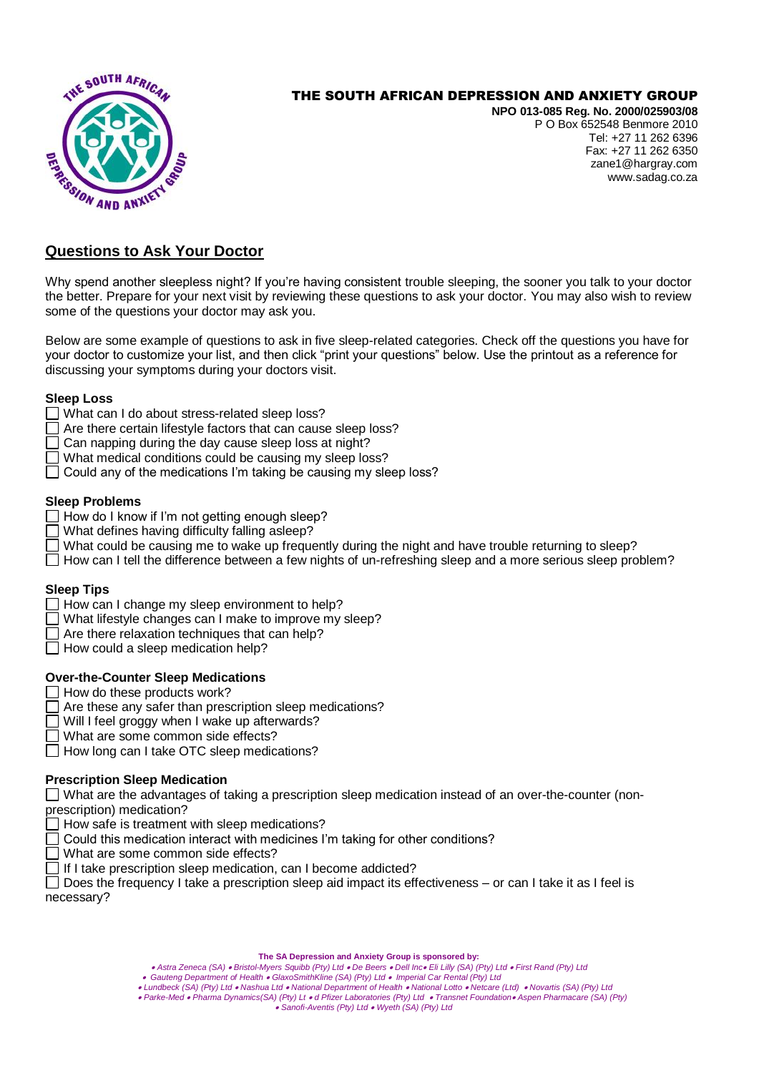

# THE SOUTH AFRICAN DEPRESSION AND ANXIETY GROUP

**NPO 013-085 Reg. No. 2000/025903/08** P O Box 652548 Benmore 2010 Tel: +27 11 262 6396 Fax: +27 11 262 6350 zane1@hargray.com [www.sadag.co.za](http://www.anxiety.org.za/)

# **Questions to Ask Your Doctor**

Why spend another sleepless night? If you're having consistent trouble sleeping, the sooner you talk to your doctor the better. Prepare for your next visit by reviewing these questions to ask your doctor. You may also wish to review some of the questions your doctor may ask you.

Below are some example of questions to ask in five sleep-related categories. Check off the questions you have for your doctor to customize your list, and then click "print your questions" below. Use the printout as a reference for discussing your symptoms during your doctors visit.

#### **Sleep Loss**

- What can I do about stress-related sleep loss?
- Are there certain lifestyle factors that can cause sleep loss?
- $\Box$  Can napping during the day cause sleep loss at night?
- What medical conditions could be causing my sleep loss?
- $\Box$  Could any of the medications I'm taking be causing my sleep loss?

#### **Sleep Problems**

- $\Box$  How do I know if I'm not getting enough sleep?
- What defines having difficulty falling asleep?
- What could be causing me to wake up frequently during the night and have trouble returning to sleep?
- $\Box$  How can I tell the difference between a few nights of un-refreshing sleep and a more serious sleep problem?

### **Sleep Tips**

- $\Box$  How can I change my sleep environment to help?
- $\Box$  What lifestyle changes can I make to improve my sleep?
- $\Box$  Are there relaxation techniques that can help?
- $\Box$  How could a sleep medication help?

### **Over-the-Counter Sleep Medications**

- $\Box$  How do these products work?
- $\Box$  Are these any safer than prescription sleep medications?
- □ Will I feel groggy when I wake up afterwards?
- What are some common side effects?
- $\Box$  How long can I take OTC sleep medications?

### **Prescription Sleep Medication**

What are the advantages of taking a prescription sleep medication instead of an over-the-counter (nonprescription) medication?

- $\Box$  How safe is treatment with sleep medications?
- $\Box$  Could this medication interact with medicines I'm taking for other conditions?
- $\Box$  What are some common side effects?
- If I take prescription sleep medication, can I become addicted?

 $\Box$  Does the frequency I take a prescription sleep aid impact its effectiveness – or can I take it as I feel is necessary?

#### **The SA Depression and Anxiety Group is sponsored by:**

- *Astra Zeneca (SA) Bristol-Myers Squibb (Pty) Ltd De Beers Dell Inc Eli Lilly (SA) (Pty) Ltd First Rand (Pty) Ltd*
- *Gauteng Department of Health GlaxoSmithKline (SA) (Pty) Ltd Imperial Car Rental (Pty) Ltd*
- *Lundbeck (SA) (Pty) Ltd Nashua Ltd National Department of Health National Lotto Netcare (Ltd) Novartis (SA) (Pty) Ltd Parke-Med Pharma Dynamics(SA) (Pty) Lt d Pfizer Laboratories (Pty) Ltd Transnet Foundation Aspen Pharmacare (SA) (Pty)* 
	-

*Sanofi-Aventis (Pty) Ltd Wyeth (SA) (Pty) Ltd*